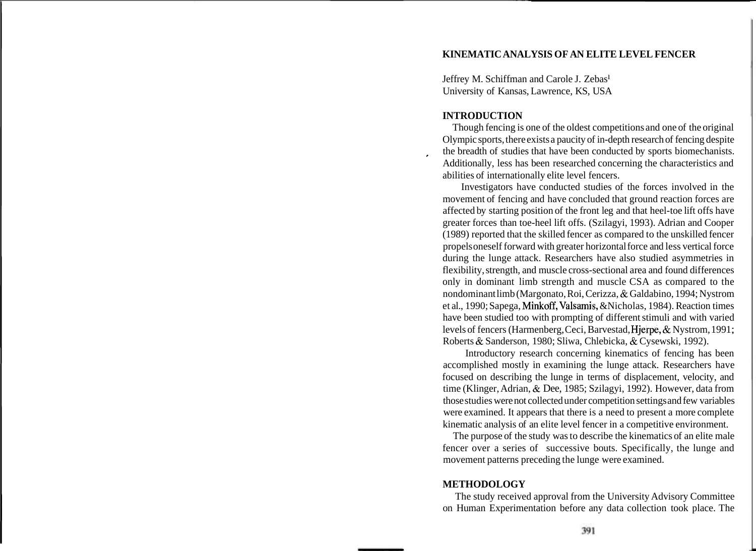# **KINEMATIC ANALYSIS OF AN ELITE LEVEL FENCER**

Jeffrey M. Schiffman and Carole J. Zebasl University of Kansas, Lawrence, KS, USA

#### **INTRODUCTION**

Though fencing is one of the oldest competitions and one of the original Olympic sports, there exists a paucity of in-depth research of fencing despite the breadth of studies that have been conducted by sports biomechanists.<br>Additionally, less has been researched concerning the characteristics and abilities of internationally elite level fencers.

Investigators have conducted studies of the forces involved in the movement of fencing and have concluded that ground reaction forces are affected by starting position of the front leg and that heel-toe lift offs have greater forces than toe-heel lift offs. (Szilagyi, 1993). Adrian and Cooper (1989) reported that the skilled fencer as compared to the unskilled fencer propels oneself forward with greater horizontal force and less vertical force during the lunge attack. Researchers have also studied asymmetries in flexibility, strength, and muscle cross-sectional area and found differences only in dominant limb strength and muscle CSA as compared to the nondominant limb (Margonato, Roi, Cerizza, & Galdabino, 1994; Nystrom et al., 1990; Sapega, Minkoff, Valsamis, &Nicholas, 1984). Reaction times have been studied too with prompting of different stimuli and with varied levels of fencers (Harmenberg, Ceci, Barvestad, Hjerpe, & Nystrom, 1991 ; Roberts & Sanderson, 1980; Sliwa, Chlebicka, & Cysewski, 1992).

Introductory research concerning kinematics of fencing has been accomplished mostly in examining the lunge attack. Researchers have focused on describing the lunge in terms of displacement, velocity, and time (Klinger, Adrian, & Dee, 1985; Szilagyi, 1992). However, data from those studies were not collected under competition settings and few variables were examined. It appears that there is a need to present a more complete kinematic analysis of an elite level fencer in a competitive environment.

The purpose of the study was to describe the kinematics of an elite male fencer over a series of successive bouts. Specifically, the lunge and movement patterns preceding the lunge were examined.

### **METHODOLOGY**

The study received approval from the University Advisory Committee on Human Experimentation before any data collection took place. The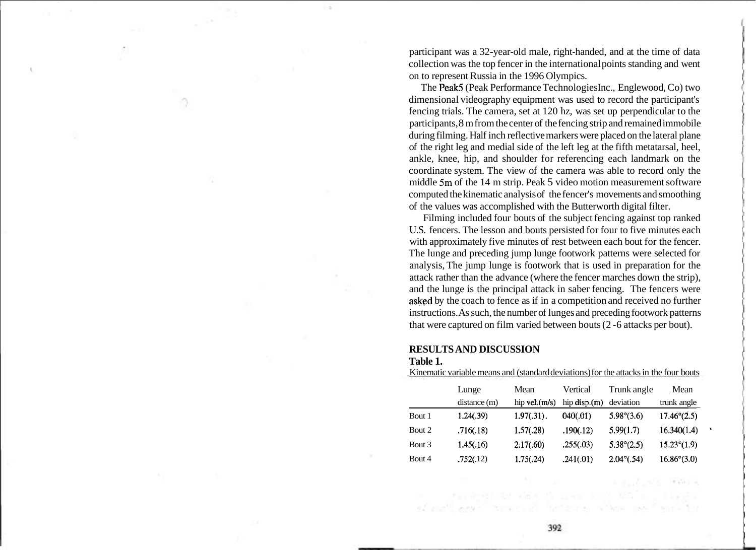participant was a 32-year-old male, right-handed, and at the time of data collection was the top fencer in the international points standing and went on to represent Russia in the 1996 Olympics.

The Peak5 (Peak Performance Technologies Inc., Englewood, Co) two dimensional videography equipment was used to record the participant's fencing trials. The camera, set at 120 hz, was set up perpendicular to the participants, 8 m from the center of the fencing strip and remained immobile during filming. Half inch reflective markers were placed on the lateral plane of the right leg and medial side of the left leg at the fifth metatarsal, heel, ankle, knee, hip, and shoulder for referencing each landmark on the coordinate system. The view of the camera was able to record only the middle **5m** of the 14 m strip. Peak 5 video motion measurement software computed the kinematic analysis of the fencer's movements and smoothing of the values was accomplished with the Butterworth digital filter.

Filming included four bouts of the subject fencing against top ranked U.S. fencers. The lesson and bouts persisted for four to five minutes each with approximately five minutes of rest between each bout for the fencer. The lunge and preceding jump lunge footwork patterns were selected for analysis, The jump lunge is footwork that is used in preparation for the attack rather than the advance (where the fencer marches down the strip), and the lunge is the principal attack in saber fencing. The fencers were asked by the coach to fence as if in a competition and received no further instructions. As such, the number of lunges and preceding footwork patterns that were captured on film varied between bouts (2 -6 attacks per bout).

### **RESULTS AND DISCUSSION Table 1.**

|        | Lunge       | Mean             | Vertical      | Trunk angle         | Mean                 |  |
|--------|-------------|------------------|---------------|---------------------|----------------------|--|
|        | distance(m) | hip vel. $(m/s)$ | hip $disp(m)$ | deviation           | trunk angle          |  |
| Bout 1 | 1.24(.39)   | $1.97(.31)$ .    | 040(.01)      | $5.98^{\circ}(3.6)$ | $17.46^{\circ}(2.5)$ |  |
| Bout 2 | .716(.18)   | 1.57(.28)        | .190(.12)     | 5.99(1.7)           | 16.340(1.4)          |  |
| Bout 3 | 1.45(.16)   | 2.17(.60)        | .255(.03)     | $5.38^{\circ}(2.5)$ | $15.23^{\circ}(1.9)$ |  |
| Bout 4 | .752(.12)   | 1.75(.24)        | .241(.01)     | $2.04^{\circ}(.54)$ | $16.86^{\circ}(3.0)$ |  |

Kinematic variable means and (standard deviations) for the attacks in the four bouts

392

 $\label{eq:4} \mathbb{E}\left[\mathbb{E}_{\mathbb{E}\left[\mathbb{E}\right]}\mathbb{E}_{\mathbb{E}\left[\mathbb{E}\right]}\mathbb{E}\mathbb{E}_{\mathbb{E}\left[\mathbb{E}\right]}\right] = \mathbb{E}\left[\mathbb{E}\mathbb{E}\right]\mathbb{E}_{\mathbb{E}\left[\mathbb{E}\right]}\mathbb{E}_{\mathbb{E}\left[\mathbb{E}\right]}\mathbb{E}_{\mathbb{E}\left[\mathbb{E}\right]}\mathbb{E}_{\mathbb{E}\left[\mathbb{E}\right]}\mathbb{E}_{\mathbb{E}\left[\mathbb{E}\right]}\mathbb{E}_{\mathbb{$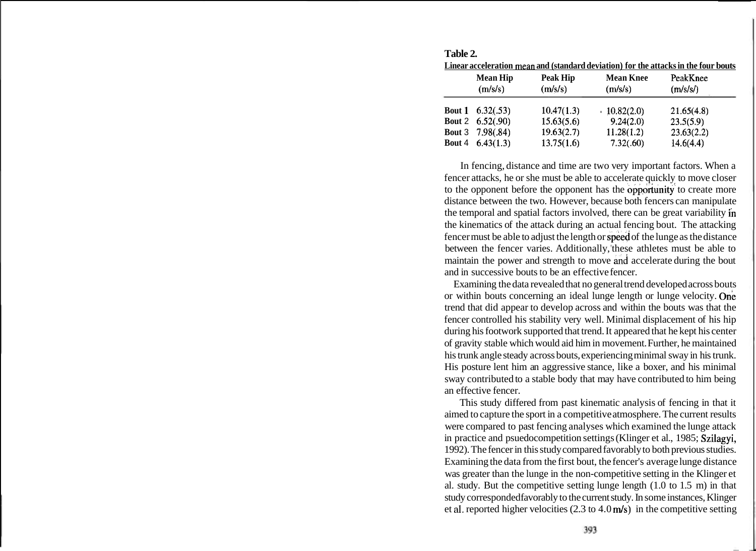|               | <b>Mean Hip</b>             | Peak Hip   | <b>Mean Knee</b> | PeakKnee   |
|---------------|-----------------------------|------------|------------------|------------|
|               | (m/s/s)                     | (m/s/s)    | (m/s/s)          | (m/s/s)    |
|               | <b>Bout 1</b> $(6.32(.53))$ | 10.47(1.3) | $-10.82(2.0)$    | 21.65(4.8) |
|               | Bout 2 $6.52(.90)$          | 15.63(5.6) | 9.24(2.0)        | 23.5(5.9)  |
| <b>Bout 4</b> | <b>Bout 3</b> 7.98(.84)     | 19.63(2.7) | 11.28(1.2)       | 23.63(2.2) |
|               | 6.43(1.3)                   | 13.75(1.6) | 7.32(.60)        | 14.6(4.4)  |

**Table 2. Linear acceleration mean and (standard deviation) for the attacks in the four bouts** 

In fencing, distance and time are two very important factors. When a fencer attacks, he or she must be able to accelerate quickly to move closer to the opponent before the opponent has the opportunity to create more distance between the two. However, because both fencers can manipulate the temporal and spatial factors involved, there can be great variability in the kinematics of the attack during an actual fencing bout. The attacking fencer must be able to adjust the length or speed of the lunge as the distance between the fencer varies. Additionally, these athletes must be able to maintain the power and strength to move and accelerate during the bout and in successive bouts to be an effective fencer.

Examining the data revealed that no general trend developed across bouts or within bouts concerning an ideal lunge length or lunge velocity. One trend that did appear to develop across and within the bouts was that the fencer controlled his stability very well. Minimal displacement of his hip during his footwork supported that trend. It appeared that he kept his center of gravity stable which would aid him in movement. Further, he maintained his trunk angle steady across bouts, experiencing minimal sway in his trunk. His posture lent him an aggressive stance, like a boxer, and his minimal sway contributed to a stable body that may have contributed to him being an effective fencer.

This study differed from past kinematic analysis of fencing in that it aimed to capture the sport in a competitive atmosphere. The current results were compared to past fencing analyses which examined the lunge attack in practice and psuedocompetition settings (Klinger et al., 1985; Szilagyi, 1992). The fencer in this study compared favorably to both previous studies. Examining the data from the first bout, the fencer's average lunge distance was greater than the lunge in the non-competitive setting in the Klinger et al. study. But the competitive setting lunge length (1.0 to 1.5 m) in that study corresponded favorably to the current study. In some instances, Klinger et al. reported higher velocities  $(2.3 \text{ to } 4.0 \text{ m/s})$  in the competitive setting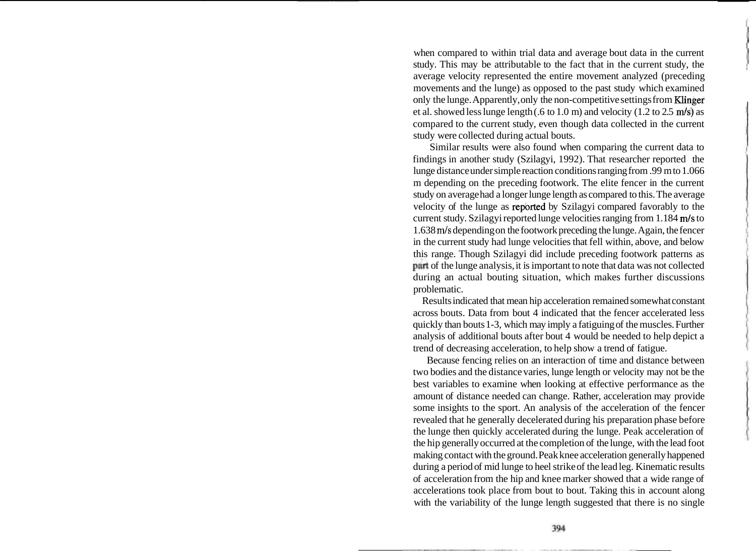when compared to within trial data and average bout data in the current study. This may be attributable to the fact that in the current study, the average velocity represented the entire movement analyzed (preceding movements and the lunge) as opposed to the past study which examined only the lunge. Apparently, only the non-competitive settings from Klinger et al. showed less lunge length (.6 to 1.0 m) and velocity (1.2 to 2.5 m/s) as compared to the current study, even though data collected in the current study were collected during actual bouts.

Similar results were also found when comparing the current data to findings in another study (Szilagyi, 1992). That researcher reported the lunge distance under simple reaction conditions ranging from .99 m to 1.066 m depending on the preceding footwork. The elite fencer in the current study on average had a longer lunge length as compared to this. The average velocity of the lunge as repbrted by Szilagyi compared favorably to the current study. Szilagyi reported lunge velocities ranging from 1.184 m/s to 1.638 **m/s** depending on the footwork preceding the lunge. Again, the fencer in the current study had lunge velocities that fell within, above, and below this range. Though Szilagyi did include preceding footwork patterns as part of the lunge analysis, it is important to note that data was not collected during an actual bouting situation, which makes further discussions problematic.

Results indicated that mean hip acceleration remained somewhat constant across bouts. Data from bout 4 indicated that the fencer accelerated less quickly than bouts 1-3, which may imply a fatiguing of the muscles. Further analysis of additional bouts after bout 4 would be needed to help depict a trend of decreasing acceleration, to help show a trend of fatigue.

Because fencing relies on an interaction of time and distance between two bodies and the distance varies, lunge length or velocity may not be the best variables to examine when looking at effective performance as the amount of distance needed can change. Rather, acceleration may provide some insights to the sport. An analysis of the acceleration of the fencer revealed that he generally decelerated during his preparation phase before the lunge then quickly accelerated during the lunge. Peak acceleration of the hip generally occurred at the completion of the lunge, with the lead foot making contact with the ground. Peak knee acceleration generally happened during a period of mid lunge to heel strike of the lead leg. Kinematic results of acceleration from the hip and knee marker showed that a wide range of accelerations took place from bout to bout. Taking this in account along with the variability of the lunge length suggested that there is no single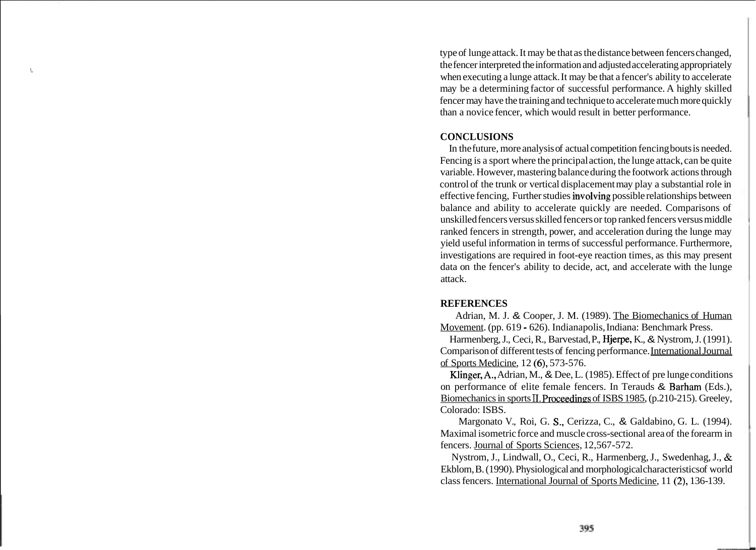type of lunge attack. It may be that as the distance between fencers changed, the fencer interpreted the information and adjusted accelerating appropriately when executing a lunge attack. It may be that a fencer's ability to accelerate may be a determining factor of successful performance. A highly skilled fencer may have the training and technique to accelerate much more quickly than a novice fencer, which would result in better performance.

## **CONCLUSIONS**

In the future, more analysis of actual competition fencing bouts is needed. Fencing is a sport where the principal action, the lunge attack, can be quite variable. However, mastering balance during the footwork actions through control of the trunk or vertical displacement may play a substantial role in effective fencing, Further studies involving possible relationships between balance and ability to accelerate quickly are needed. Comparisons of unskilled fencers versus skilled fencers or top ranked fencers versus middle ranked fencers in strength, power, and acceleration during the lunge may yield useful information in terms of successful performance. Furthermore, investigations are required in foot-eye reaction times, as this may present data on the fencer's ability to decide, act, and accelerate with the lunge attack.

## **REFERENCES**

Adrian, M. J. & Cooper, J. M. (1989). The Biomechanics of Human Movement. (pp. 619 - 626). Indianapolis, Indiana: Benchmark Press.

Harmenberg, J., Ceci, R., Barvestad, P., Hjerpe, K., & Nystrom, J. (1991). Comparison of different tests of fencing performance. International Journal of Sports Medicine, 12 (6), 573-576.

Klinger,A., Adrian, M., & Dee, L. (1985). Effect of pre lunge conditions on performance of elite female fencers. In Terauds & Barham (Eds.), Biomechanics in sports II. Proceedings of ISBS 1985, (p.210-215). Greeley, Colorado: ISBS.

Margonato V., Roi, G. S,, Cerizza, C., & Galdabino, G. L. (1994). Maximal isometric force and muscle cross-sectional area of the forearm in fencers. Journal of Sports Sciences, 12,567-572.

Nystrom, J., Lindwall, O., Ceci, R., Harmenberg, J., Swedenhag, J., & Ekblom, B. (1990). Physiological and morphological characteristics of world class fencers. International Journal of Sports Medicine, 11 (2), 136-139.